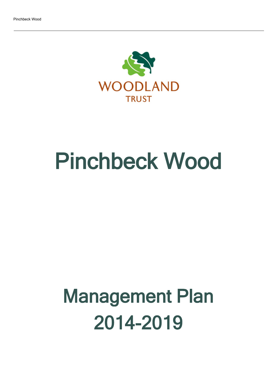

# Pinchbeck Wood

## Management Plan 2014-2019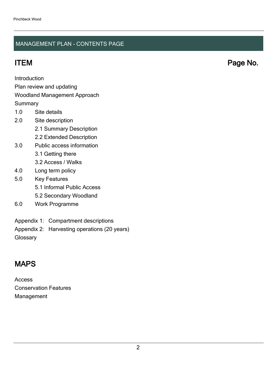### MANAGEMENT PLAN - CONTENTS PAGE

ITEM Page No.

Introduction

Plan review and updating

#### Woodland Management Approach

**Summary** 

- 1.0 Site details
- 2.0 Site description
	- 2.1 Summary Description
	- 2.2 Extended Description
- 3.0 Public access information
	- 3.1 Getting there
	- 3.2 Access / Walks
- 4.0 Long term policy
- 5.0 Key Features
	- 5.1 Informal Public Access
	- 5.2 Secondary Woodland
- 6.0 Work Programme
- Appendix 1: Compartment descriptions
- Appendix 2: Harvesting operations (20 years)

**Glossary** 

## MAPS

Access Conservation Features Management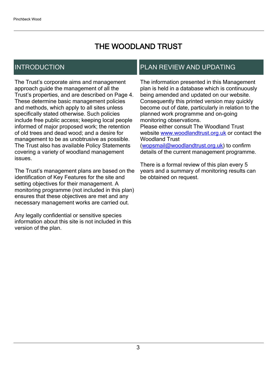## THE WOODLAND TRUST

## INTRODUCTION

The Trust's corporate aims and management approach guide the management of all the Trust's properties, and are described on Page 4. These determine basic management policies and methods, which apply to all sites unless specifically stated otherwise. Such policies include free public access; keeping local people informed of major proposed work; the retention of old trees and dead wood; and a desire for management to be as unobtrusive as possible. The Trust also has available Policy Statements covering a variety of woodland management issues.

The Trust's management plans are based on the identification of Key Features for the site and setting objectives for their management. A monitoring programme (not included in this plan) ensures that these objectives are met and any necessary management works are carried out.

Any legally confidential or sensitive species information about this site is not included in this version of the plan.

## PLAN REVIEW AND UPDATING

The information presented in this Management plan is held in a database which is continuously being amended and updated on our website. Consequently this printed version may quickly become out of date, particularly in relation to the planned work programme and on-going monitoring observations. Please either consult The Woodland Trust website [www.woodlandtrust.org.uk](http://www.woodlandtrust.org.uk/) or contact the Woodland Trust [\(wopsmail@woodlandtrust.org.uk](mailto:wopsmail@woodlandtrust.org.uk)) to confirm

details of the current management programme.

There is a formal review of this plan every 5 years and a summary of monitoring results can be obtained on request.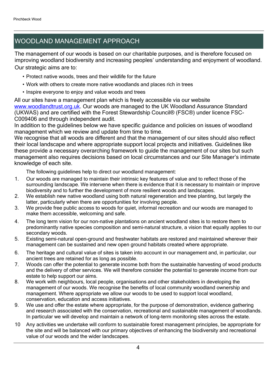## WOODLAND MANAGEMENT APPROACH

The management of our woods is based on our charitable purposes, and is therefore focused on improving woodland biodiversity and increasing peoples' understanding and enjoyment of woodland. Our strategic aims are to:

- Protect native woods, trees and their wildlife for the future
- Work with others to create more native woodlands and places rich in trees
- Inspire everyone to enjoy and value woods and trees

All our sites have a management plan which is freely accessible via our website [www.woodlandtrust.org.uk.](http://www.woodlandtrust.org.uk/) Our woods are managed to the UK Woodland Assurance Standard (UKWAS) and are certified with the Forest Stewardship Council® (FSC®) under licence FSC-C009406 and through independent audit.

In addition to the guidelines below we have specific guidance and policies on issues of woodland management which we review and update from time to time.

We recognise that all woods are different and that the management of our sites should also reflect their local landscape and where appropriate support local projects and initiatives. Guidelines like these provide a necessary overarching framework to guide the management of our sites but such management also requires decisions based on local circumstances and our Site Manager's intimate knowledge of each site.

The following guidelines help to direct our woodland management:

- 1. Our woods are managed to maintain their intrinsic key features of value and to reflect those of the surrounding landscape. We intervene when there is evidence that it is necessary to maintain or improve biodiversity and to further the development of more resilient woods and landscapes.
- 2. We establish new native woodland using both natural regeneration and tree planting, but largely the latter, particularly when there are opportunities for involving people.
- 3. We provide free public access to woods for quiet, informal recreation and our woods are managed to make them accessible, welcoming and safe.
- 4. The long term vision for our non-native plantations on ancient woodland sites is to restore them to predominantly native species composition and semi-natural structure, a vision that equally applies to our secondary woods.
- 5. Existing semi-natural open-ground and freshwater habitats are restored and maintained wherever their management can be sustained and new open ground habitats created where appropriate.
- 6. The heritage and cultural value of sites is taken into account in our management and, in particular, our ancient trees are retained for as long as possible.
- 7. Woods can offer the potential to generate income both from the sustainable harvesting of wood products and the delivery of other services. We will therefore consider the potential to generate income from our estate to help support our aims.
- 8. We work with neighbours, local people, organisations and other stakeholders in developing the management of our woods. We recognise the benefits of local community woodland ownership and management. Where appropriate we allow our woods to be used to support local woodland, conservation, education and access initiatives.
- 9. We use and offer the estate where appropriate, for the purpose of demonstration, evidence gathering and research associated with the conservation, recreational and sustainable management of woodlands. In particular we will develop and maintain a network of long-term monitoring sites across the estate.
- 10 Any activities we undertake will conform to sustainable forest management principles, be appropriate for the site and will be balanced with our primary objectives of enhancing the biodiversity and recreational value of our woods and the wider landscapes.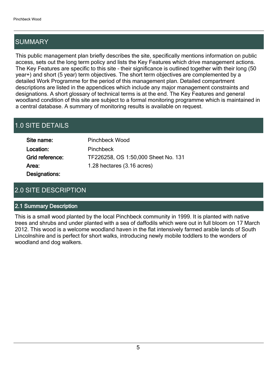## SUMMARY

This public management plan briefly describes the site, specifically mentions information on public access, sets out the long term policy and lists the Key Features which drive management actions. The Key Features are specific to this site - their significance is outlined together with their long (50 year+) and short (5 year) term objectives. The short term objectives are complemented by a detailed Work Programme for the period of this management plan. Detailed compartment descriptions are listed in the appendices which include any major management constraints and designations. A short glossary of technical terms is at the end. The Key Features and general woodland condition of this site are subject to a formal monitoring programme which is maintained in a central database. A summary of monitoring results is available on request.

## 1.0 SITE DETAILS

| Site name:      | <b>Pinchbeck Wood</b>               |
|-----------------|-------------------------------------|
| Location:       | Pinchbeck                           |
| Grid reference: | TF226258, OS 1:50,000 Sheet No. 131 |
| Area:           | 1.28 hectares (3.16 acres)          |
| Designations:   |                                     |

## 2.0 SITE DESCRIPTION

#### 2.1 Summary Description

This is a small wood planted by the local Pinchbeck community in 1999. It is planted with native trees and shrubs and under planted with a sea of daffodils which were out in full bloom on 17 March 2012. This wood is a welcome woodland haven in the flat intensively farmed arable lands of South Lincolnshire and is perfect for short walks, introducing newly mobile toddlers to the wonders of woodland and dog walkers.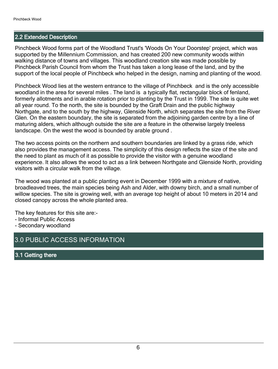#### 2.2 Extended Description

Pinchbeck Wood forms part of the Woodland Trust's 'Woods On Your Doorstep' project, which was supported by the Millennium Commission, and has created 200 new community woods within walking distance of towns and villages. This woodland creation site was made possible by Pinchbeck Parish Council from whom the Trust has taken a long lease of the land, and by the support of the local people of Pinchbeck who helped in the design, naming and planting of the wood.

Pinchbeck Wood lies at the western entrance to the village of Pinchbeck and is the only accessible woodland in the area for several miles . The land is a typically flat, rectangular block of fenland, formerly allotments and in arable rotation prior to planting by the Trust in 1999. The site is quite wet all year round. To the north, the site is bounded by the Graft Drain and the public highway Northgate, and to the south by the highway, Glenside North, which separates the site from the River Glen. On the eastern boundary, the site is separated from the adjoining garden centre by a line of maturing alders, which although outside the site are a feature in the otherwise largely treeless landscape. On the west the wood is bounded by arable ground .

The two access points on the northern and southern boundaries are linked by a grass ride, which also provides the management access. The simplicity of this design reflects the size of the site and the need to plant as much of it as possible to provide the visitor with a genuine woodland experience. It also allows the wood to act as a link between Northgate and Glenside North, providing visitors with a circular walk from the village.

The wood was planted at a public planting event in December 1999 with a mixture of native, broadleaved trees, the main species being Ash and Alder, with downy birch, and a small number of willow species. The site is growing well, with an average top height of about 10 meters in 2014 and closed canopy across the whole planted area.

The key features for this site are:-

- Informal Public Access
- Secondary woodland

### 3.0 PUBLIC ACCESS INFORMATION

3.1 Getting there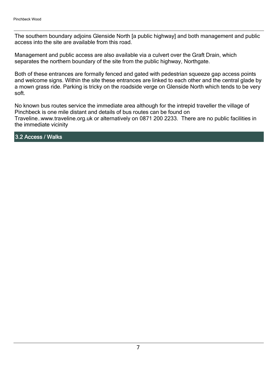The southern boundary adjoins Glenside North [a public highway] and both management and public access into the site are available from this road.

Management and public access are also available via a culvert over the Graft Drain, which separates the northern boundary of the site from the public highway, Northgate.

Both of these entrances are formally fenced and gated with pedestrian squeeze gap access points and welcome signs. Within the site these entrances are linked to each other and the central glade by a mown grass ride. Parking is tricky on the roadside verge on Glenside North which tends to be very soft.

No known bus routes service the immediate area although for the intrepid traveller the village of Pinchbeck is one mile distant and details of bus routes can be found on Traveline..www.traveline.org.uk or alternatively on 0871 200 2233. There are no public facilities in the immediate vicinity

3.2 Access / Walks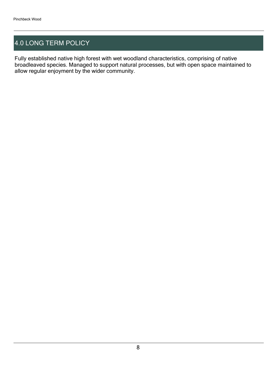## 4.0 LONG TERM POLICY

Fully established native high forest with wet woodland characteristics, comprising of native broadleaved species. Managed to support natural processes, but with open space maintained to allow regular enjoyment by the wider community.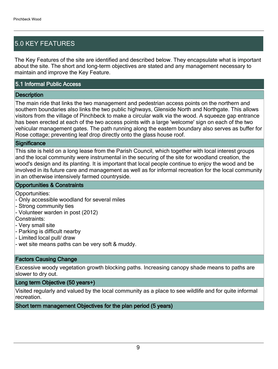## 5.0 KEY FEATURES

The Key Features of the site are identified and described below. They encapsulate what is important about the site. The short and long-term objectives are stated and any management necessary to maintain and improve the Key Feature.

#### 5.1 Informal Public Access

#### **Description**

The main ride that links the two management and pedestrian access points on the northern and southern boundaries also links the two public highways, Glenside North and Northgate. This allows visitors from the village of Pinchbeck to make a circular walk via the wood. A squeeze gap entrance has been erected at each of the two access points with a large 'welcome' sign on each of the two vehicular management gates. The path running along the eastern boundary also serves as buffer for Rose cottage; preventing leaf drop directly onto the glass house roof.

#### **Significance**

This site is held on a long lease from the Parish Council, which together with local interest groups and the local community were instrumental in the securing of the site for woodland creation, the wood's design and its planting. It is important that local people continue to enjoy the wood and be involved in its future care and management as well as for informal recreation for the local community in an otherwise intensively farmed countryside.

#### Opportunities & Constraints

Opportunities:

- Only accessible woodland for several miles
- Strong community ties
- Volunteer warden in post (2012)

Constraints:

- Very small site
- Parking is difficult nearby
- Limited local pull/ draw
- wet site means paths can be very soft & muddy.

#### Factors Causing Change

Excessive woody vegetation growth blocking paths. Increasing canopy shade means to paths are slower to dry out.

#### Long term Objective (50 years+)

Visited regularly and valued by the local community as a place to see wildlife and for quite informal recreation.

Short term management Objectives for the plan period (5 years)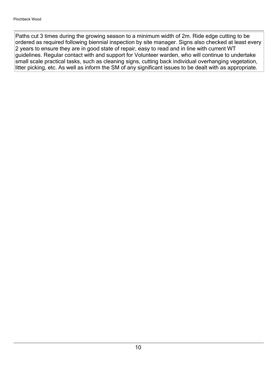Paths cut 3 times during the growing season to a minimum width of 2m. Ride edge cutting to be ordered as required following biennial inspection by site manager. Signs also checked at least every 2 years to ensure they are in good state of repair, easy to read and in line with current WT guidelines. Regular contact with and support for Volunteer warden, who will continue to undertake small scale practical tasks, such as cleaning signs, cutting back individual overhanging vegetation, litter picking, etc. As well as inform the SM of any significant issues to be dealt with as appropriate.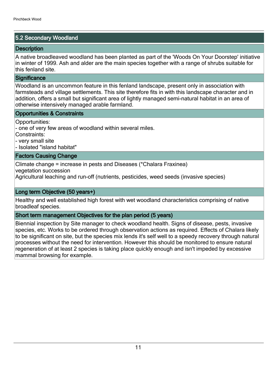#### 5.2 Secondary Woodland

#### **Description**

A native broadleaved woodland has been planted as part of the 'Woods On Your Doorstep' initiative in winter of 1999. Ash and alder are the main species together with a range of shrubs suitable for this fenland site.

#### **Significance**

Woodland is an uncommon feature in this fenland landscape, present only in association with farmsteads and village settlements. This site therefore fits in with this landscape character and in addition, offers a small but significant area of lightly managed semi-natural habitat in an area of otherwise intensively managed arable farmland.

#### Opportunities & Constraints

Opportunities:

- one of very few areas of woodland within several miles.

Constraints:

- very small site

- Isolated "island habitat"

#### Factors Causing Change

Climate change = increase in pests and Diseases (\*Chalara Fraxinea)

vegetation succession

Agricultural leaching and run-off (nutrients, pesticides, weed seeds (invasive species)

#### Long term Objective (50 years+)

Healthy and well established high forest with wet woodland characteristics comprising of native broadleaf species.

#### Short term management Objectives for the plan period (5 years)

Biennial inspection by Site manager to check woodland health. Signs of disease, pests, invasive species, etc. Works to be ordered through observation actions as required. Effects of Chalara likely to be significant on site, but the species mix lends it's self well to a speedy recovery through natural processes without the need for intervention. However this should be monitored to ensure natural regeneration of at least 2 species is taking place quickly enough and isn't impeded by excessive mammal browsing for example.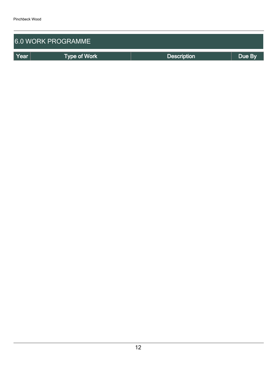| <b>6.0 WORK PROGRAMME</b> |                     |                    |        |  |  |  |
|---------------------------|---------------------|--------------------|--------|--|--|--|
| Year                      | <b>Type of Work</b> | <b>Description</b> | Due By |  |  |  |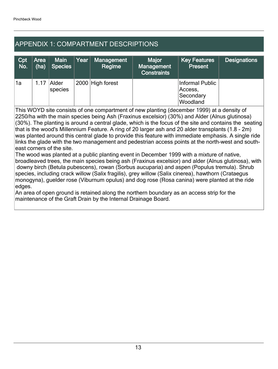## APPENDIX 1: COMPARTMENT DESCRIPTIONS

| Cpt<br>No. | Area<br>(ha) | <b>Main</b><br><b>Species</b> | Year | Management<br>Regime | <b>Major</b><br>Management<br><b>Constraints</b> | <b>Key Features</b><br><b>Present</b>               | <b>Designations</b> |
|------------|--------------|-------------------------------|------|----------------------|--------------------------------------------------|-----------------------------------------------------|---------------------|
| '1a        | 1.17         | Alder<br>species              |      | 2000 High forest     |                                                  | Informal Public<br>Access,<br>Secondary<br>Woodland |                     |

This WOYD site consists of one compartment of new planting (december 1999) at a density of 2250/ha with the main species being Ash (Fraxinus excelsior) (30%) and Alder (Alnus glutinosa) (30%). The planting is around a central glade, which is the focus of the site and contains the seating that is the wood's Millennium Feature. A ring of 20 larger ash and 20 alder transplants (1.8 - 2m) was planted around this central glade to provide this feature with immediate emphasis. A single ride links the glade with the two management and pedestrian access points at the north-west and southeast corners of the site.

The wood was planted at a public planting event in December 1999 with a mixture of native, broadleaved trees, the main species being ash (Fraxinus excelsior) and alder (Alnus glutinosa), with downy birch (Betula pubescens), rowan (Sorbus aucuparia) and aspen (Populus tremula). Shrub species, including crack willow (Salix fragilis), grey willow (Salix cinerea), hawthorn (Crataegus monogyna), guelder rose (Viburnum opulus) and dog rose (Rosa canina) were planted at the ride edges.

An area of open ground is retained along the northern boundary as an access strip for the maintenance of the Graft Drain by the Internal Drainage Board.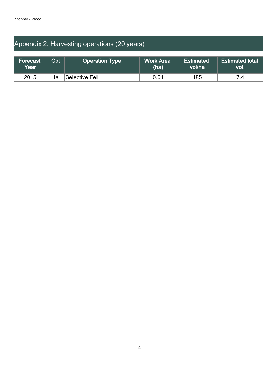## Appendix 2: Harvesting operations (20 years)

| Forecast<br>$\overline{\mathsf{Year}}$ $\overline{\mathsf{?}}$ | $\mathsf{Cpt}$ | <b>Operation Type</b> | <b>Work Area</b><br>(ha) | <b>Estimated</b><br><b>vol/ha</b> | <b>Estimated total</b><br>VOI. |
|----------------------------------------------------------------|----------------|-----------------------|--------------------------|-----------------------------------|--------------------------------|
| 2015                                                           | 1a             | Selective Fell        | 0.04                     | 185                               |                                |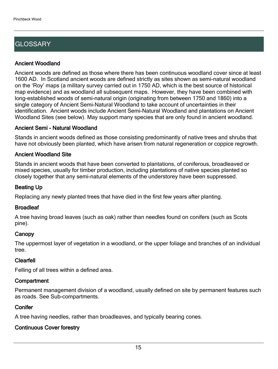## **GLOSSARY**

#### Ancient Woodland

Ancient woods are defined as those where there has been continuous woodland cover since at least 1600 AD. In Scotland ancient woods are defined strictly as sites shown as semi-natural woodland on the 'Roy' maps (a military survey carried out in 1750 AD, which is the best source of historical map evidence) and as woodland all subsequent maps. However, they have been combined with long-established woods of semi-natural origin (originating from between 1750 and 1860) into a single category of Ancient Semi-Natural Woodland to take account of uncertainties in their identification. Ancient woods include Ancient Semi-Natural Woodland and plantations on Ancient Woodland Sites (see below). May support many species that are only found in ancient woodland.

#### Ancient Semi - Natural Woodland

Stands in ancient woods defined as those consisting predominantly of native trees and shrubs that have not obviously been planted, which have arisen from natural regeneration or coppice regrowth.

#### Ancient Woodland Site

Stands in ancient woods that have been converted to plantations, of coniferous, broadleaved or mixed species, usually for timber production, including plantations of native species planted so closely together that any semi-natural elements of the understorey have been suppressed.

#### Beating Up

Replacing any newly planted trees that have died in the first few years after planting.

#### **Broadleaf**

A tree having broad leaves (such as oak) rather than needles found on conifers (such as Scots pine).

#### **Canopy**

The uppermost layer of vegetation in a woodland, or the upper foliage and branches of an individual tree.

#### Clearfell

Felling of all trees within a defined area.

#### **Compartment**

Permanent management division of a woodland, usually defined on site by permanent features such as roads. See Sub-compartments.

#### **Conifer**

A tree having needles, rather than broadleaves, and typically bearing cones.

#### Continuous Cover forestry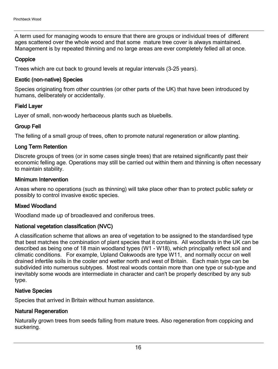A term used for managing woods to ensure that there are groups or individual trees of different ages scattered over the whole wood and that some mature tree cover is always maintained. Management is by repeated thinning and no large areas are ever completely felled all at once.

#### **Coppice**

Trees which are cut back to ground levels at regular intervals (3-25 years).

#### Exotic (non-native) Species

Species originating from other countries (or other parts of the UK) that have been introduced by humans, deliberately or accidentally.

#### Field Layer

Layer of small, non-woody herbaceous plants such as bluebells.

#### Group Fell

The felling of a small group of trees, often to promote natural regeneration or allow planting.

#### Long Term Retention

Discrete groups of trees (or in some cases single trees) that are retained significantly past their economic felling age. Operations may still be carried out within them and thinning is often necessary to maintain stability.

#### Minimum Intervention

Areas where no operations (such as thinning) will take place other than to protect public safety or possibly to control invasive exotic species.

#### Mixed Woodland

Woodland made up of broadleaved and coniferous trees.

#### National vegetation classification (NVC)

A classification scheme that allows an area of vegetation to be assigned to the standardised type that best matches the combination of plant species that it contains. All woodlands in the UK can be described as being one of 18 main woodland types (W1 - W18), which principally reflect soil and climatic conditions. For example, Upland Oakwoods are type W11, and normally occur on well drained infertile soils in the cooler and wetter north and west of Britain. Each main type can be subdivided into numerous subtypes. Most real woods contain more than one type or sub-type and inevitably some woods are intermediate in character and can't be properly described by any sub type.

#### Native Species

Species that arrived in Britain without human assistance.

#### Natural Regeneration

Naturally grown trees from seeds falling from mature trees. Also regeneration from coppicing and suckering.